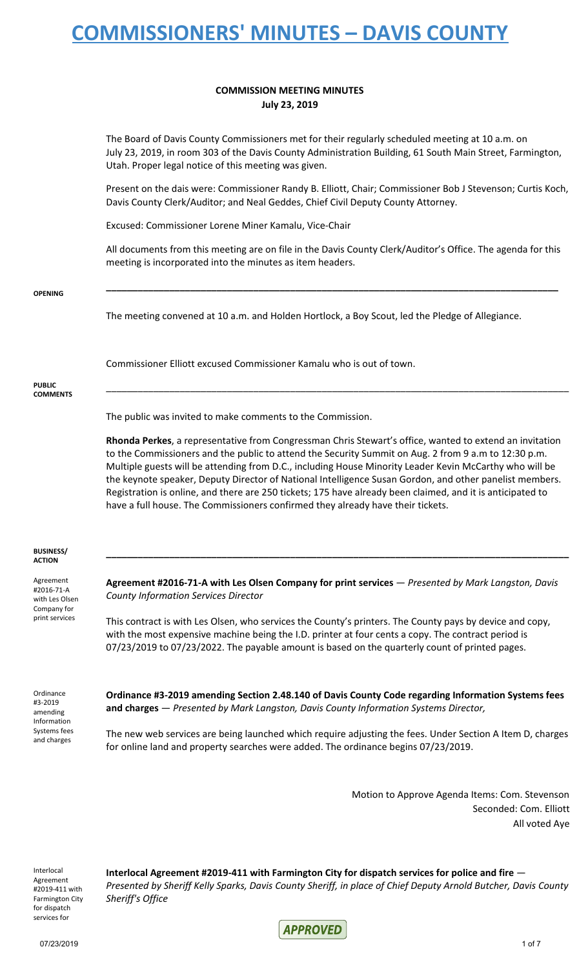#### **COMMISSION MEETING MINUTES July 23, 2019**

The Board of Davis County Commissioners met for their regularly scheduled meeting at 10 a.m. on July 23, 2019, in room 303 of the Davis County Administration Building, 61 South Main Street, Farmington, Utah. Proper legal notice of this meeting was given.

Present on the dais were: Commissioner Randy B. Elliott, Chair; Commissioner Bob J Stevenson; Curtis Koch, Davis County Clerk/Auditor; and Neal Geddes, Chief Civil Deputy County Attorney.

Excused: Commissioner Lorene Miner Kamalu, Vice-Chair

All documents from this meeting are on file in the Davis County Clerk/Auditor's Office. The agenda for this meeting is incorporated into the minutes as item headers.

**\_\_\_\_\_\_\_\_\_\_\_\_\_\_\_\_\_\_\_\_\_\_\_\_\_\_\_\_\_\_\_\_\_\_\_\_\_\_\_\_\_\_\_\_\_\_\_\_\_\_\_\_\_\_\_\_\_\_\_\_\_\_\_\_\_\_\_\_\_\_\_\_\_\_\_\_\_\_\_\_\_\_\_\_\_\_**

```
OPENING
```
The meeting convened at 10 a.m. and Holden Hortlock, a Boy Scout, led the Pledge of Allegiance.

Commissioner Elliott excused Commissioner Kamalu who is out of town.

#### **PUBLIC COMMENTS**

The public was invited to make comments to the Commission.

**Rhonda Perkes**, a representative from Congressman Chris Stewart's office, wanted to extend an invitation to the Commissioners and the public to attend the Security Summit on Aug. 2 from 9 a.m to 12:30 p.m. Multiple guests will be attending from D.C., including House Minority Leader Kevin McCarthy who will be the keynote speaker, Deputy Director of National Intelligence Susan Gordon, and other panelist members. Registration is online, and there are 250 tickets; 175 have already been claimed, and it is anticipated to have a full house. The Commissioners confirmed they already have their tickets.

\_\_\_\_\_\_\_\_\_\_\_\_\_\_\_\_\_\_\_\_\_\_\_\_\_\_\_\_\_\_\_\_\_\_\_\_\_\_\_\_\_\_\_\_\_\_\_\_\_\_\_\_\_\_\_\_\_\_\_\_\_\_\_\_\_\_\_\_\_\_\_\_\_\_\_\_\_\_\_\_\_\_\_\_\_\_\_\_

#### **BUSINESS/ ACTION**

Agreement #2016-71-A with Les Olsen Company for print services

**Agreement #2016-71-A with Les Olsen Company for print services** — *Presented by Mark Langston, Davis County Information Services Director*

**\_\_\_\_\_\_\_\_\_\_\_\_\_\_\_\_\_\_\_\_\_\_\_\_\_\_\_\_\_\_\_\_\_\_\_\_\_\_\_\_\_\_\_\_\_\_\_\_\_\_\_\_\_\_\_\_\_\_\_\_\_\_\_\_\_\_\_\_\_\_\_\_\_\_\_\_\_\_\_\_\_\_\_\_\_\_\_\_**

This contract is with Les Olsen, who services the County's printers. The County pays by device and copy, with the most expensive machine being the I.D. printer at four cents a copy. The contract period is 07/23/2019 to 07/23/2022. The payable amount is based on the quarterly count of printed pages.

Ordinance #3-2019 amending Information Systems fees and charges

**Ordinance #3-2019 amending Section 2.48.140 of Davis County Code regarding Information Systems fees and charges** — *Presented by Mark Langston, Davis County Information Systems Director,*

The new web services are being launched which require adjusting the fees. Under Section A Item D, charges for online land and property searches were added. The ordinance begins 07/23/2019.

> Motion to Approve Agenda Items: Com. Stevenson Seconded: Com. Elliott All voted Aye

Interlocal Agreement #2019-411 with Farmington City for dispatch services for

**Interlocal Agreement #2019-411 with Farmington City for dispatch services for police and fire** — Presented by Sheriff Kelly Sparks, Davis County Sheriff, in place of Chief Deputy Arnold Butcher, Davis County *Sheriff's Office*

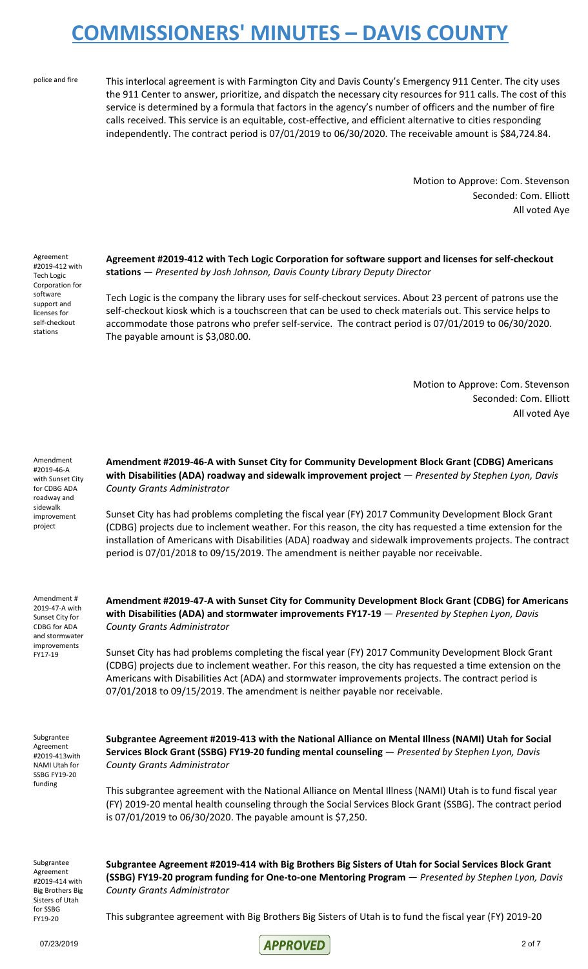police and fire This interlocal agreement is with Farmington City and Davis County's Emergency 911 Center. The city uses the 911 Center to answer, prioritize, and dispatch the necessary city resources for 911 calls. The cost of this service is determined by a formula that factors in the agency's number of officers and the number of fire calls received. This service is an equitable, cost-effective, and efficient alternative to cities responding independently. The contract period is 07/01/2019 to 06/30/2020. The receivable amount is \$84,724.84.

> Motion to Approve: Com. Stevenson Seconded: Com. Elliott All voted Aye

Agreement #2019-412 with Tech Logic Corporation for software support and licenses for self-checkout stations

**Agreement #2019-412 with Tech Logic Corporation for software support and licenses for self-checkout stations** — *Presented by Josh Johnson, Davis County Library Deputy Director*

Tech Logic is the company the library uses for self-checkout services. About 23 percent of patrons use the self-checkout kiosk which is a touchscreen that can be used to check materials out. This service helps to accommodate those patrons who prefer self-service. The contract period is 07/01/2019 to 06/30/2020. The payable amount is \$3,080.00.

> Motion to Approve: Com. Stevenson Seconded: Com. Elliott All voted Aye

Amendment #2019-46-A with Sunset City for CDBG ADA roadway and sidewalk improvement project

**Amendment #2019-46-A with Sunset City for Community Development Block Grant (CDBG) Americans with Disabilities (ADA) roadway and sidewalk improvement project** — *Presented by Stephen Lyon, Davis County Grants Administrator*

Sunset City has had problems completing the fiscal year (FY) 2017 Community Development Block Grant (CDBG) projects due to inclement weather. For this reason, the city has requested a time extension for the installation of Americans with Disabilities (ADA) roadway and sidewalk improvements projects. The contract period is 07/01/2018 to 09/15/2019. The amendment is neither payable nor receivable.

Amendment # 2019-47-A with Sunset City for CDBG for ADA and stormwater improvements FY17-19

**Amendment #2019-47-A with Sunset City for Community Development Block Grant (CDBG) for Americans with Disabilities (ADA) and stormwater improvements FY17-19** — *Presented by Stephen Lyon, Davis County Grants Administrator*

Sunset City has had problems completing the fiscal year (FY) 2017 Community Development Block Grant (CDBG) projects due to inclement weather. For this reason, the city has requested a time extension on the Americans with Disabilities Act (ADA) and stormwater improvements projects. The contract period is 07/01/2018 to 09/15/2019. The amendment is neither payable nor receivable.

Subgrantee Agreement #2019-413with NAMI Utah for SSBG FY19-20 funding

**Subgrantee Agreement #2019-413 with the National Alliance on Mental Illness (NAMI) Utah for Social Services Block Grant (SSBG) FY19-20 funding mental counseling** — *Presented by Stephen Lyon, Davis County Grants Administrator*

This subgrantee agreement with the National Alliance on Mental Illness (NAMI) Utah is to fund fiscal year (FY) 2019-20 mental health counseling through the Social Services Block Grant (SSBG). The contract period is 07/01/2019 to 06/30/2020. The payable amount is \$7,250.

Subgrantee Agreement #2019-414 with Big Brothers Big Sisters of Utah for SSBG FY19-20

**Subgrantee Agreement #2019-414 with Big Brothers Big Sisters of Utah for Social Services Block Grant (SSBG) FY19-20 program funding for One-to-one Mentoring Program** — *Presented by Stephen Lyon, Davis County Grants Administrator*

This subgrantee agreement with Big Brothers Big Sisters of Utah is to fund the fiscal year (FY) 2019-20

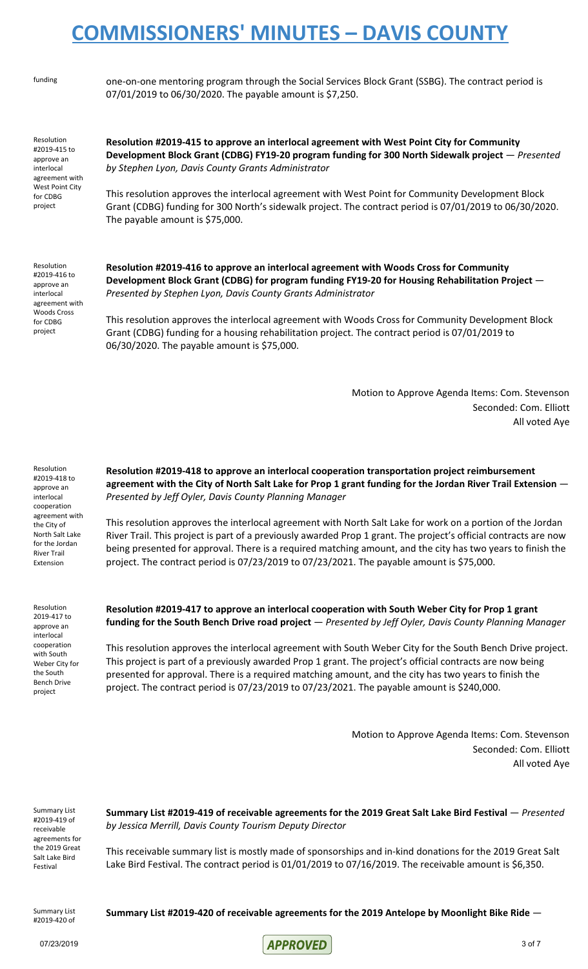funding one-on-one mentoring program through the Social Services Block Grant (SSBG). The contract period is 07/01/2019 to 06/30/2020. The payable amount is \$7,250.

Resolution #2019-415 to approve an interlocal agreement with West Point City for CDBG project

**Resolution #2019-415 to approve an interlocal agreement with West Point City for Community Development Block Grant (CDBG) FY19-20 program funding for 300 North Sidewalk project** — *Presented by Stephen Lyon, Davis County Grants Administrator*

This resolution approves the interlocal agreement with West Point for Community Development Block Grant (CDBG) funding for 300 North's sidewalk project. The contract period is 07/01/2019 to 06/30/2020. The payable amount is \$75,000.

Resolution #2019-416 to approve an interlocal agreement with Woods Cross for CDBG project

**Resolution #2019-416 to approve an interlocal agreement with Woods Cross for Community Development Block Grant (CDBG) for program funding FY19-20 for Housing Rehabilitation Project** — *Presented by Stephen Lyon, Davis County Grants Administrator*

This resolution approves the interlocal agreement with Woods Cross for Community Development Block Grant (CDBG) funding for a housing rehabilitation project. The contract period is 07/01/2019 to 06/30/2020. The payable amount is \$75,000.

> Motion to Approve Agenda Items: Com. Stevenson Seconded: Com. Elliott All voted Aye

Resolution #2019-418 to approve an interlocal cooperation agreement with the City of North Salt Lake for the Jordan River Trail Extension

Resolution 2019-417 to approve an interlocal cooperation with South Weber City for the South Bench Drive project

**Resolution #2019-418 to approve an interlocal cooperation transportation project reimbursement** agreement with the City of North Salt Lake for Prop 1 grant funding for the Jordan River Trail Extension -*Presented by Jeff Oyler, Davis County Planning Manager*

This resolution approves the interlocal agreement with North Salt Lake for work on a portion of the Jordan River Trail. This project is part of a previously awarded Prop 1 grant. The project's official contracts are now being presented for approval. There is a required matching amount, and the city has two years to finish the project. The contract period is 07/23/2019 to 07/23/2021. The payable amount is \$75,000.

**Resolution #2019-417 to approve an interlocal cooperation with South Weber City for Prop 1 grant funding for the South Bench Drive road project** — *Presented by Jeff Oyler, Davis County Planning Manager*

This resolution approves the interlocal agreement with South Weber City for the South Bench Drive project. This project is part of a previously awarded Prop 1 grant. The project's official contracts are now being presented for approval. There is a required matching amount, and the city has two years to finish the project. The contract period is 07/23/2019 to 07/23/2021. The payable amount is \$240,000.

> Motion to Approve Agenda Items: Com. Stevenson Seconded: Com. Elliott All voted Aye

Summary List #2019-419 of receivable agreements for the 2019 Great Salt Lake Bird Festival

**Summary List #2019-419 of receivable agreements for the 2019 Great Salt Lake Bird Festival** — *Presented by Jessica Merrill, Davis County Tourism Deputy Director*

This receivable summary list is mostly made of sponsorships and in-kind donations for the 2019 Great Salt Lake Bird Festival. The contract period is 01/01/2019 to 07/16/2019. The receivable amount is \$6,350.

Summary List #2019-420 of

**Summary List #2019-420 of receivable agreements for the 2019 Antelope by Moonlight Bike Ride** —

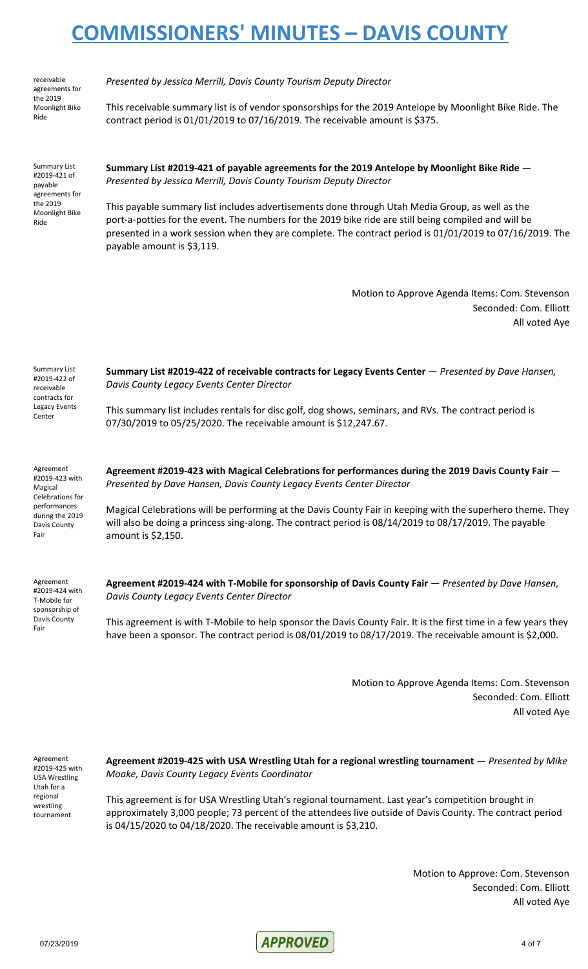receivable agreements for the 2019 Moonlight Bike Ride

*Presented by Jessica Merrill, Davis County Tourism Deputy Director*

This receivable summary list is of vendor sponsorships for the 2019 Antelope by Moonlight Bike Ride. The contract period is 01/01/2019 to 07/16/2019. The receivable amount is \$375.

Summary List #2019-421 of payable agreements for the 2019 Moonlight Bike Ride

**Summary List #2019-421 of payable agreements for the 2019 Antelope by Moonlight Bike Ride** — *Presented by Jessica Merrill, Davis County Tourism Deputy Director*

This payable summary list includes advertisements done through Utah Media Group, as well as the port-a-potties for the event. The numbers for the 2019 bike ride are still being compiled and will be presented in a work session when they are complete. The contract period is 01/01/2019 to 07/16/2019. The payable amount is \$3,119.

> Motion to Approve Agenda Items: Com. Stevenson Seconded: Com. Elliott All voted Aye

| <b>Summary List</b><br>#2019-422 of<br>receivable<br>contracts for  | Summary List #2019-422 of receivable contracts for Legacy Events Center - Presented by Dave Hansen,<br>Davis County Legacy Events Center Director                                                                    |
|---------------------------------------------------------------------|----------------------------------------------------------------------------------------------------------------------------------------------------------------------------------------------------------------------|
| Legacy Events<br>Center                                             | This summary list includes rentals for disc golf, dog shows, seminars, and RVs. The contract period is<br>07/30/2019 to 05/25/2020. The receivable amount is \$12,247.67.                                            |
| Agreement<br>#2019-423 with<br>Magical                              | Agreement #2019-423 with Magical Celebrations for performances during the 2019 Davis County Fair -<br>Presented by Dave Hansen, Davis County Legacy Events Center Director                                           |
| Celebrations for<br>performances<br>during the 2019<br>Davis County | Magical Celebrations will be performing at the Davis County Fair in keeping with the superhero theme. They<br>will also be doing a princess sing-along. The contract period is 08/14/2019 to 08/17/2019. The payable |

Magical Celebrations will be performing at the Davis County Fair in keeping with the superhero theme. They will also be doing a princess sing-along. The contract period is 08/14/2019 to 08/17/2019. The payable amount is \$2,150.

Agreement #2019-424 with T-Mobile for sponsorship of Davis County Fair

Fair

**Agreement #2019-424 with T-Mobile for sponsorship of Davis County Fair** — *Presented by Dave Hansen, Davis County Legacy Events Center Director*

This agreement is with T-Mobile to help sponsor the Davis County Fair. It is the first time in a few years they have been a sponsor. The contract period is 08/01/2019 to 08/17/2019. The receivable amount is \$2,000.

> Motion to Approve Agenda Items: Com. Stevenson Seconded: Com. Elliott All voted Aye

Agreement #2019-425 with USA Wrestling Utah for a regional wrestling tournament

**Agreement #2019-425 with USA Wrestling Utah for a regional wrestling tournament** — *Presented by Mike Moake, Davis County Legacy Events Coordinator*

This agreement is for USA Wrestling Utah's regional tournament. Last year's competition brought in approximately 3,000 people; 73 percent of the attendees live outside of Davis County. The contract period is 04/15/2020 to 04/18/2020. The receivable amount is \$3,210.

> Motion to Approve: Com. Stevenson Seconded: Com. Elliott All voted Aye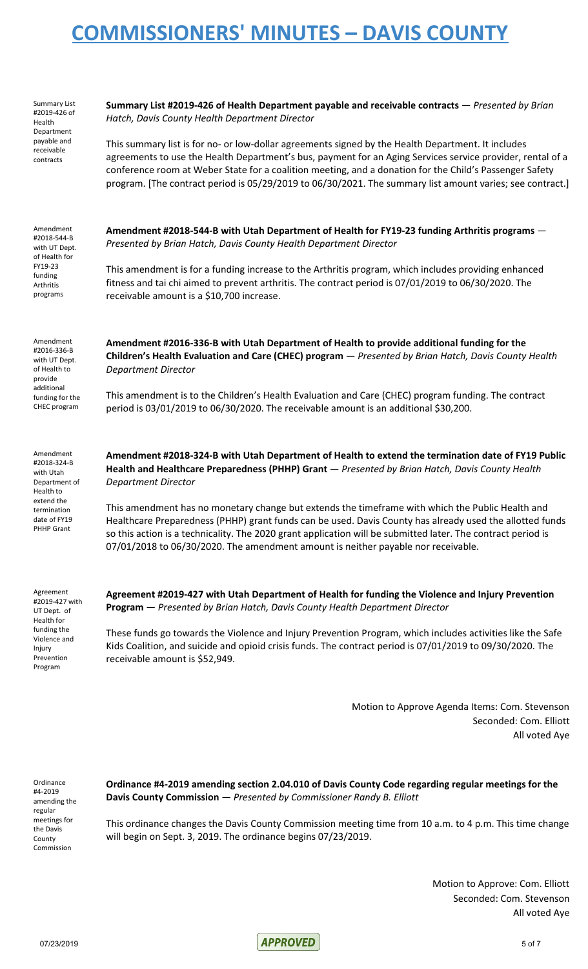Summary List #2019-426 of Health Department payable and receivable contracts

Amendment #2018-544-B with UT Dept. of Health for FY19-23 funding Arthritis programs

**Summary List #2019-426 of Health Department payable and receivable contracts** — *Presented by Brian Hatch, Davis County Health Department Director*

This summary list is for no- or low-dollar agreements signed by the Health Department. It includes agreements to use the Health Department's bus, payment for an Aging Services service provider, rental of a conference room at Weber State for a coalition meeting, and a donation for the Child's Passenger Safety program. [The contract period is 05/29/2019 to 06/30/2021. The summary list amount varies; see contract.]

**Amendment #2018-544-B with Utah Department of Health for FY19-23 funding Arthritis programs** — *Presented by Brian Hatch, Davis County Health Department Director*

This amendment is for a funding increase to the Arthritis program, which includes providing enhanced fitness and tai chi aimed to prevent arthritis. The contract period is 07/01/2019 to 06/30/2020. The receivable amount is a \$10,700 increase.

**Amendment #2016-336-B with Utah Department of Health to provide additional funding for the Children's Health Evaluation and Care (CHEC) program** — *Presented by Brian Hatch, Davis County Health Department Director*

This amendment is to the Children's Health Evaluation and Care (CHEC) program funding. The contract period is 03/01/2019 to 06/30/2020. The receivable amount is an additional \$30,200.

**Amendment #2018-324-B with Utah Department of Health to extend the termination date of FY19 Public Health and Healthcare Preparedness (PHHP) Grant** — *Presented by Brian Hatch, Davis County Health Department Director*

This amendment has no monetary change but extends the timeframe with which the Public Health and Healthcare Preparedness (PHHP) grant funds can be used. Davis County has already used the allotted funds so this action is a technicality. The 2020 grant application will be submitted later. The contract period is 07/01/2018 to 06/30/2020. The amendment amount is neither payable nor receivable.

Agreement #2019-427 with UT Dept. of Health for funding the Violence and Injury Prevention Program

**Agreement #2019-427 with Utah Department of Health for funding the Violence and Injury Prevention Program** — *Presented by Brian Hatch, Davis County Health Department Director*

These funds go towards the Violence and Injury Prevention Program, which includes activities like the Safe Kids Coalition, and suicide and opioid crisis funds. The contract period is 07/01/2019 to 09/30/2020. The receivable amount is \$52,949.

> Motion to Approve Agenda Items: Com. Stevenson Seconded: Com. Elliott All voted Aye

**Ordinance** #4-2019 amending the regular meetings for the Davis County Commission

**Ordinance #4-2019 amending section 2.04.010 of Davis County Code regarding regular meetings for the Davis County Commission** — *Presented by Commissioner Randy B. Elliott*

This ordinance changes the Davis County Commission meeting time from 10 a.m. to 4 p.m. This time change will begin on Sept. 3, 2019. The ordinance begins 07/23/2019.

> Motion to Approve: Com. Elliott Seconded: Com. Stevenson All voted Aye

provide additional funding for the CHEC program Amendment

Amendment #2016-336-B with UT Dept. of Health to

#2018-324-B with Utah Department of Health to extend the termination date of FY19 PHHP Grant

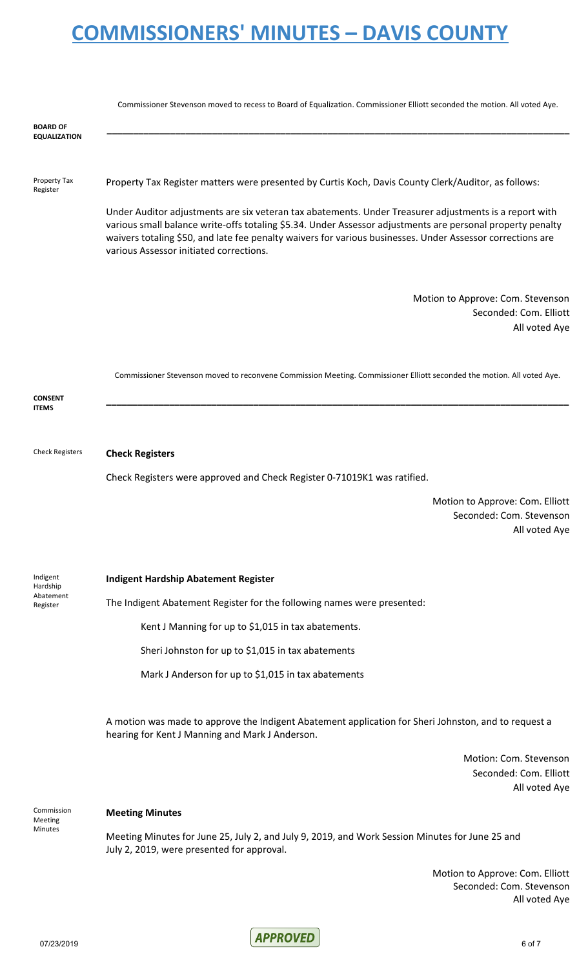|                                        | Commissioner Stevenson moved to recess to Board of Equalization. Commissioner Elliott seconded the motion. All voted Aye.                                                                                                                                                                                                                                                     |
|----------------------------------------|-------------------------------------------------------------------------------------------------------------------------------------------------------------------------------------------------------------------------------------------------------------------------------------------------------------------------------------------------------------------------------|
| <b>BOARD OF</b><br><b>EQUALIZATION</b> |                                                                                                                                                                                                                                                                                                                                                                               |
| Property Tax<br>Register               | Property Tax Register matters were presented by Curtis Koch, Davis County Clerk/Auditor, as follows:                                                                                                                                                                                                                                                                          |
|                                        | Under Auditor adjustments are six veteran tax abatements. Under Treasurer adjustments is a report with<br>various small balance write-offs totaling \$5.34. Under Assessor adjustments are personal property penalty<br>waivers totaling \$50, and late fee penalty waivers for various businesses. Under Assessor corrections are<br>various Assessor initiated corrections. |
|                                        | Motion to Approve: Com. Stevenson<br>Seconded: Com. Elliott<br>All voted Aye                                                                                                                                                                                                                                                                                                  |
|                                        | Commissioner Stevenson moved to reconvene Commission Meeting. Commissioner Elliott seconded the motion. All voted Aye.                                                                                                                                                                                                                                                        |
| <b>CONSENT</b><br><b>ITEMS</b>         |                                                                                                                                                                                                                                                                                                                                                                               |
| <b>Check Registers</b>                 | <b>Check Registers</b>                                                                                                                                                                                                                                                                                                                                                        |
|                                        | Check Registers were approved and Check Register 0-71019K1 was ratified.                                                                                                                                                                                                                                                                                                      |
|                                        | Motion to Approve: Com. Elliott<br>Seconded: Com. Stevenson<br>All voted Aye                                                                                                                                                                                                                                                                                                  |
| Indigent<br>Hardship                   | <b>Indigent Hardship Abatement Register</b>                                                                                                                                                                                                                                                                                                                                   |
| Abatement<br>Register                  | The Indigent Abatement Register for the following names were presented:                                                                                                                                                                                                                                                                                                       |
|                                        | Kent J Manning for up to \$1,015 in tax abatements.                                                                                                                                                                                                                                                                                                                           |
|                                        | Sheri Johnston for up to \$1,015 in tax abatements                                                                                                                                                                                                                                                                                                                            |
|                                        | Mark J Anderson for up to \$1,015 in tax abatements                                                                                                                                                                                                                                                                                                                           |
|                                        | A motion was made to approve the Indigent Abatement application for Sheri Johnston, and to request a<br>hearing for Kent J Manning and Mark J Anderson.                                                                                                                                                                                                                       |
|                                        | Motion: Com. Stevenson<br>Seconded: Com. Elliott<br>All voted Aye                                                                                                                                                                                                                                                                                                             |
| Commission                             | <b>Meeting Minutes</b>                                                                                                                                                                                                                                                                                                                                                        |
| Meeting<br>Minutes                     | Meeting Minutes for June 25, July 2, and July 9, 2019, and Work Session Minutes for June 25 and<br>July 2, 2019, were presented for approval.                                                                                                                                                                                                                                 |
|                                        | Motion to Approve: Com. Elliott<br>Seconded: Com. Stevenson<br>All voted Aye                                                                                                                                                                                                                                                                                                  |